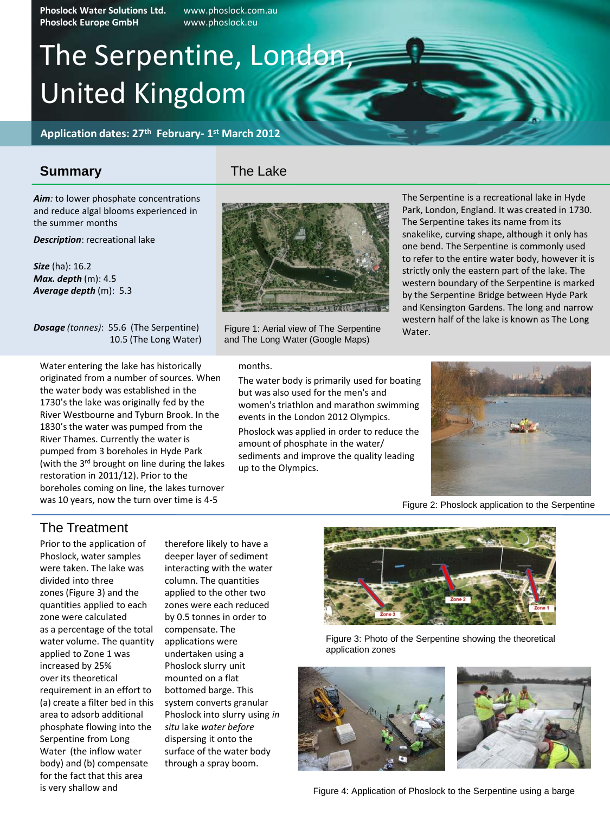**Phoslock Water Solutions Ltd.** www.phoslock.com.au **Phoslock Europe GmbH** www.phoslock.eu

# The Serpentine, London, United Kingdom

**Application dates: 27th February- 1 st March 2012**

### **Summary**

The Lake

Aim: to lower phosphate concentrations and reduce algal blooms experienced in the summer months

*Description*: recreational lake

*Size* (ha): 16.2 *Max. depth* (m): 4.5 *Average depth* (m): 5.3

*Dosage (tonnes)*: 55.6 (The Serpentine) 10.5 (The Long Water)

Water entering the lake has historically originated from a number of sources. When the water body was established in the 1730's the lake was originally fed by the River Westbourne and Tyburn Brook. In the 1830's the water was pumped from the River Thames. Currently the water is pumped from 3 boreholes in Hyde Park (with the 3<sup>rd</sup> brought on line during the lakes restoration in 2011/12). Prior to the boreholes coming on line, the lakes turnover was 10 years, now the turn over time is 4-5



Figure 1: Aerial view of The Serpentine and The Long Water (Google Maps)

months.

The water body is primarily used for boating but was also used for the men's and women's triathlon and marathon swimming events in the London 2012 Olympics.

Phoslock was applied in order to reduce the amount of phosphate in the water/ sediments and improve the quality leading up to the Olympics.

The Serpentine is a recreational lake in Hyde Park, London, England. It was created in 1730. The Serpentine takes its name from its snakelike, curving shape, although it only has one bend. The Serpentine is commonly used to refer to the entire water body, however it is strictly only the eastern part of the lake. The western boundary of the Serpentine is marked by the Serpentine Bridge between Hyde Park and Kensington Gardens. The long and narrow western half of the lake is known as The Long Water.



Figure 2: Phoslock application to the Serpentine

### The Treatment

Prior to the application of Phoslock, water samples were taken. The lake was divided into three zones (Figure 3) and the quantities applied to each zone were calculated as a percentage of the total water volume. The quantity applied to Zone 1 was increased by 25% over its theoretical requirement in an effort to (a) create a filter bed in this area to adsorb additional phosphate flowing into the Serpentine from Long Water (the inflow water body) and (b) compensate for the fact that this area is very shallow and

therefore likely to have a deeper layer of sediment interacting with the water column. The quantities applied to the other two zones were each reduced by 0.5 tonnes in order to compensate. The applications were undertaken using a Phoslock slurry unit mounted on a flat bottomed barge. This system converts granular Phoslock into slurry using *in situ* lake *water before* dispersing it onto the surface of the water body through a spray boom.



Figure 3: Photo of the Serpentine showing the theoretical application zones